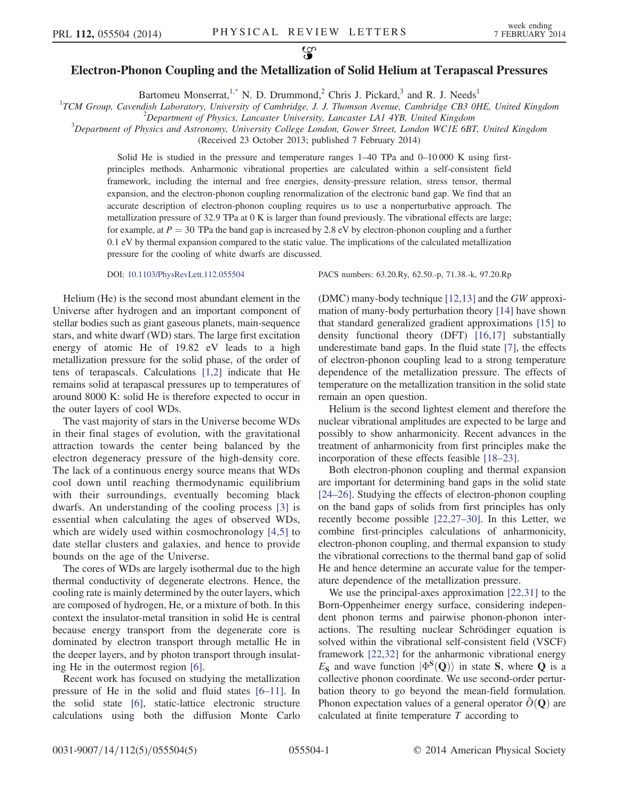## $\mathcal{L}$ Electron-Phonon Coupling and the Metallization of Solid Helium at Terapascal Pressures

Bartomeu Monserrat,<sup>1[,\\*](#page-3-0)</sup> N. D. Drummond,<sup>2</sup> Chris J. Pickard,<sup>3</sup> and R. J. Needs<sup>1</sup>

<span id="page-0-1"></span><sup>1</sup>TCM Group, Cavendish Laboratory, University of Cambridge, J. J. Thomson Avenue, Cambridge CB3 0HE, United Kingdom  $\frac{2}{D}$  Pangatmant of Physics Janggatay University Janggatay LAJ 4NP United Kingdom

<sup>2</sup>Department of Physics, Lancaster University, Lancaster LA1 4YB, United Kingdom

 ${}^{3}$ Department of Physics and Astronomy, University College London, Gower Street, London WC1E 6BT, United Kingdom

(Received 23 October 2013; published 7 February 2014)

Solid He is studied in the pressure and temperature ranges  $1-40$  TPa and  $0-10000$  K using firstprinciples methods. Anharmonic vibrational properties are calculated within a self-consistent field framework, including the internal and free energies, density-pressure relation, stress tensor, thermal expansion, and the electron-phonon coupling renormalization of the electronic band gap. We find that an accurate description of electron-phonon coupling requires us to use a nonperturbative approach. The metallization pressure of 32.9 TPa at 0 K is larger than found previously. The vibrational effects are large; for example, at  $P = 30$  TPa the band gap is increased by 2.8 eV by electron-phonon coupling and a further 0.1 eV by thermal expansion compared to the static value. The implications of the calculated metallization pressure for the cooling of white dwarfs are discussed.

Helium (He) is the second most abundant element in the Universe after hydrogen and an important component of stellar bodies such as giant gaseous planets, main-sequence stars, and white dwarf (WD) stars. The large first excitation energy of atomic He of 19.82 eV leads to a high metallization pressure for the solid phase, of the order of tens of terapascals. Calculations [\[1,2\]](#page-3-1) indicate that He remains solid at terapascal pressures up to temperatures of around 8000 K: solid He is therefore expected to occur in the outer layers of cool WDs.

The vast majority of stars in the Universe become WDs in their final stages of evolution, with the gravitational attraction towards the center being balanced by the electron degeneracy pressure of the high-density core. The lack of a continuous energy source means that WDs cool down until reaching thermodynamic equilibrium with their surroundings, eventually becoming black dwarfs. An understanding of the cooling process [\[3\]](#page-4-0) is essential when calculating the ages of observed WDs, which are widely used within cosmochronology [\[4,5\]](#page-4-1) to date stellar clusters and galaxies, and hence to provide bounds on the age of the Universe.

The cores of WDs are largely isothermal due to the high thermal conductivity of degenerate electrons. Hence, the cooling rate is mainly determined by the outer layers, which are composed of hydrogen, He, or a mixture of both. In this context the insulator-metal transition in solid He is central because energy transport from the degenerate core is dominated by electron transport through metallic He in the deeper layers, and by photon transport through insulating He in the outermost region [\[6\]](#page-4-2).

Recent work has focused on studying the metallization pressure of He in the solid and fluid states [6–[11\].](#page-4-2) In the solid state [\[6\],](#page-4-2) static-lattice electronic structure calculations using both the diffusion Monte Carlo

DOI: [10.1103/PhysRevLett.112.055504](http://dx.doi.org/10.1103/PhysRevLett.112.055504) PACS numbers: 63.20.Ry, 62.50.-p, 71.38.-k, 97.20.Rp

(DMC) many-body technique [\[12,13\]](#page-4-3) and the GW approximation of many-body perturbation theory [\[14\]](#page-4-4) have shown that standard generalized gradient approximations [\[15\]](#page-4-5) to density functional theory (DFT) [\[16,17\]](#page-4-6) substantially underestimate band gaps. In the fluid state [\[7\],](#page-4-7) the effects of electron-phonon coupling lead to a strong temperature dependence of the metallization pressure. The effects of temperature on the metallization transition in the solid state remain an open question.

Helium is the second lightest element and therefore the nuclear vibrational amplitudes are expected to be large and possibly to show anharmonicity. Recent advances in the treatment of anharmonicity from first principles make the incorporation of these effects feasible [\[18](#page-4-8)–23].

Both electron-phonon coupling and thermal expansion are important for determining band gaps in the solid state [\[24](#page-4-9)–26]. Studying the effects of electron-phonon coupling on the band gaps of solids from first principles has only recently become possible [\[22,27](#page-4-10)–30]. In this Letter, we combine first-principles calculations of anharmonicity, electron-phonon coupling, and thermal expansion to study the vibrational corrections to the thermal band gap of solid He and hence determine an accurate value for the temperature dependence of the metallization pressure.

<span id="page-0-0"></span>We use the principal-axes approximation [\[22,31\]](#page-4-10) to the Born-Oppenheimer energy surface, considering independent phonon terms and pairwise phonon-phonon interactions. The resulting nuclear Schrödinger equation is solved within the vibrational self-consistent field (VSCF) framework [\[22,32\]](#page-4-10) for the anharmonic vibrational energy  $E_S$  and wave function  $|\Phi^S(Q)\rangle$  in state S, where Q is a collective phonon coordinate. We use second-order perturbation theory to go beyond the mean-field formulation. Phonon expectation values of a general operator  $\hat{O}(\mathbf{Q})$  are calculated at finite temperature  $T$  according to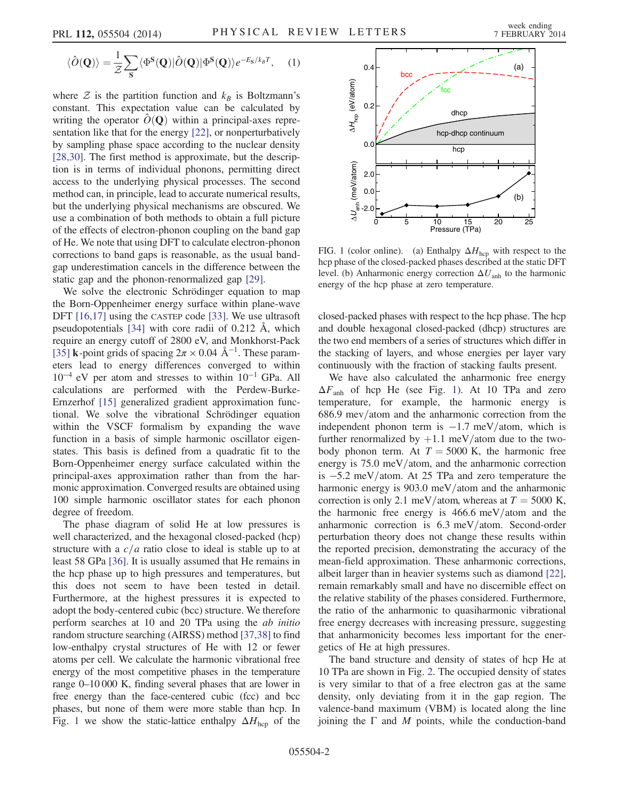$$
\langle \hat{O}(\mathbf{Q}) \rangle = \frac{1}{\mathcal{Z}} \sum_{\mathbf{S}} \langle \Phi^{\mathbf{S}}(\mathbf{Q}) | \hat{O}(\mathbf{Q}) | \Phi^{\mathbf{S}}(\mathbf{Q}) \rangle e^{-E_{\mathbf{S}}/k_{B}T}, \quad (1)
$$

where  $\mathcal Z$  is the partition function and  $k_B$  is Boltzmann's constant. This expectation value can be calculated by writing the operator  $\hat{O}(\mathbf{Q})$  within a principal-axes representation like that for the energy [\[22\],](#page-4-10) or nonperturbatively by sampling phase space according to the nuclear density [\[28,30\]](#page-4-11). The first method is approximate, but the description is in terms of individual phonons, permitting direct access to the underlying physical processes. The second method can, in principle, lead to accurate numerical results, but the underlying physical mechanisms are obscured. We use a combination of both methods to obtain a full picture of the effects of electron-phonon coupling on the band gap of He. We note that using DFT to calculate electron-phonon corrections to band gaps is reasonable, as the usual bandgap underestimation cancels in the difference between the static gap and the phonon-renormalized gap [\[29\]](#page-4-12).

We solve the electronic Schrödinger equation to map the Born-Oppenheimer energy surface within plane-wave DFT [\[16,17\]](#page-4-6) using the CASTEP code [\[33\]](#page-4-13). We use ultrasoft pseudopotentials [\[34\]](#page-4-14) with core radii of 0.212 Å, which require an energy cutoff of 2800 eV, and Monkhorst-Pack [\[35\]](#page-4-15) **k**-point grids of spacing  $2\pi \times 0.04$  Å<sup>-1</sup>. These parameters lead to energy differences converged to within 10−<sup>4</sup> eV per atom and stresses to within 10−<sup>1</sup> GPa. All calculations are performed with the Perdew-Burke-Ernzerhof [\[15\]](#page-4-5) generalized gradient approximation functional. We solve the vibrational Schrödinger equation within the VSCF formalism by expanding the wave function in a basis of simple harmonic oscillator eigenstates. This basis is defined from a quadratic fit to the Born-Oppenheimer energy surface calculated within the principal-axes approximation rather than from the harmonic approximation. Converged results are obtained using 100 simple harmonic oscillator states for each phonon degree of freedom.

The phase diagram of solid He at low pressures is well characterized, and the hexagonal closed-packed (hcp) structure with a  $c/a$  ratio close to ideal is stable up to at least 58 GPa [\[36\].](#page-4-16) It is usually assumed that He remains in the hcp phase up to high pressures and temperatures, but this does not seem to have been tested in detail. Furthermore, at the highest pressures it is expected to adopt the body-centered cubic (bcc) structure. We therefore perform searches at 10 and 20 TPa using the ab initio random structure searching (AIRSS) method [\[37,38\]](#page-4-17) to find low-enthalpy crystal structures of He with 12 or fewer atoms per cell. We calculate the harmonic vibrational free energy of the most competitive phases in the temperature range 0–10 000 K, finding several phases that are lower in free energy than the face-centered cubic (fcc) and bcc phases, but none of them were more stable than hcp. In Fig. [1](#page-1-0) we show the static-lattice enthalpy  $\Delta H_{\text{hcp}}$  of the

<span id="page-1-0"></span>

FIG. 1 (color online). (a) Enthalpy  $\Delta H_{\text{hop}}$  with respect to the hcp phase of the closed-packed phases described at the static DFT level. (b) Anharmonic energy correction  $\Delta U_{\text{anh}}$  to the harmonic energy of the hcp phase at zero temperature.

closed-packed phases with respect to the hcp phase. The hcp and double hexagonal closed-packed (dhcp) structures are the two end members of a series of structures which differ in the stacking of layers, and whose energies per layer vary continuously with the fraction of stacking faults present.

We have also calculated the anharmonic free energy  $\Delta F_{\text{anh}}$  of hcp He (see Fig. [1](#page-1-0)). At 10 TPa and zero temperature, for example, the harmonic energy is  $686.9$  mev/atom and the anharmonic correction from the independent phonon term is  $-1.7$  meV/atom, which is further renormalized by  $+1.1$  meV/atom due to the twobody phonon term. At  $T = 5000$  K, the harmonic free energy is  $75.0 \text{ meV}$ /atom, and the anharmonic correction is  $-5.2$  meV/atom. At 25 TPa and zero temperature the harmonic energy is  $903.0$  meV/atom and the anharmonic correction is only 2.1 meV/atom, whereas at  $T = 5000$  K, the harmonic free energy is  $466.6$  meV/atom and the anharmonic correction is  $6.3 \text{ meV/atom}$ . Second-order perturbation theory does not change these results within the reported precision, demonstrating the accuracy of the mean-field approximation. These anharmonic corrections, albeit larger than in heavier systems such as diamond [\[22\]](#page-4-10), remain remarkably small and have no discernible effect on the relative stability of the phases considered. Furthermore, the ratio of the anharmonic to quasiharmonic vibrational free energy decreases with increasing pressure, suggesting that anharmonicity becomes less important for the energetics of He at high pressures.

The band structure and density of states of hcp He at 10 TPa are shown in Fig. [2](#page-2-0). The occupied density of states is very similar to that of a free electron gas at the same density, only deviating from it in the gap region. The valence-band maximum (VBM) is located along the line joining the  $\Gamma$  and M points, while the conduction-band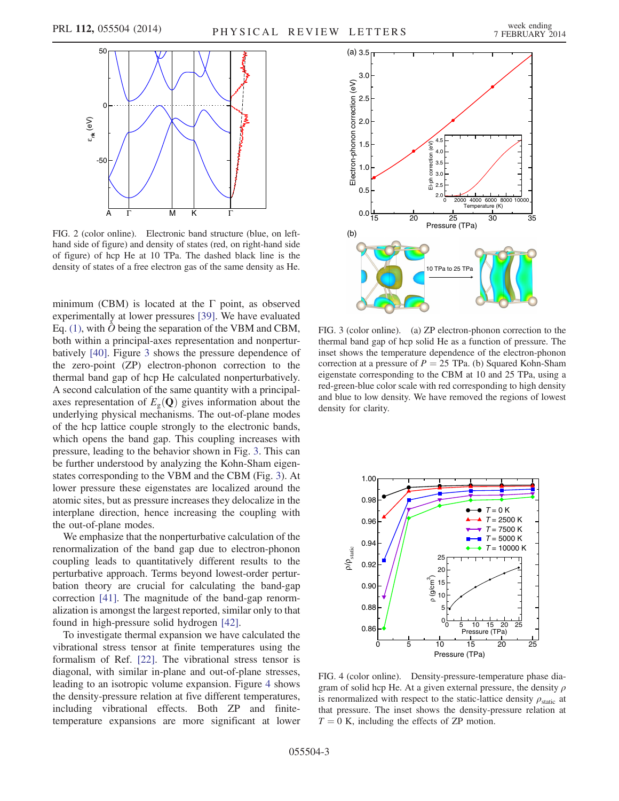<span id="page-2-0"></span>

FIG. 2 (color online). Electronic band structure (blue, on lefthand side of figure) and density of states (red, on right-hand side of figure) of hcp He at 10 TPa. The dashed black line is the density of states of a free electron gas of the same density as He.

minimum (CBM) is located at the  $\Gamma$  point, as observed experimentally at lower pressures [\[39\].](#page-4-18) We have evaluated Eq. [\(1\),](#page-0-0) with  $\hat{O}$  being the separation of the VBM and CBM, both within a principal-axes representation and nonperturbatively [\[40\].](#page-4-19) Figure [3](#page-2-1) shows the pressure dependence of the zero-point (ZP) electron-phonon correction to the thermal band gap of hcp He calculated nonperturbatively. A second calculation of the same quantity with a principalaxes representation of  $E_{\rm g}(\mathbf{Q})$  gives information about the underlying physical mechanisms. The out-of-plane modes of the hcp lattice couple strongly to the electronic bands, which opens the band gap. This coupling increases with pressure, leading to the behavior shown in Fig. [3.](#page-2-1) This can be further understood by analyzing the Kohn-Sham eigenstates corresponding to the VBM and the CBM (Fig. [3](#page-2-1)). At lower pressure these eigenstates are localized around the atomic sites, but as pressure increases they delocalize in the interplane direction, hence increasing the coupling with the out-of-plane modes.

We emphasize that the nonperturbative calculation of the renormalization of the band gap due to electron-phonon coupling leads to quantitatively different results to the perturbative approach. Terms beyond lowest-order perturbation theory are crucial for calculating the band-gap correction [\[41\]](#page-4-20). The magnitude of the band-gap renormalization is amongst the largest reported, similar only to that found in high-pressure solid hydrogen [\[42\]](#page-4-21).

To investigate thermal expansion we have calculated the vibrational stress tensor at finite temperatures using the formalism of Ref. [\[22\]](#page-4-10). The vibrational stress tensor is diagonal, with similar in-plane and out-of-plane stresses, leading to an isotropic volume expansion. Figure [4](#page-2-2) shows the density-pressure relation at five different temperatures, including vibrational effects. Both ZP and finitetemperature expansions are more significant at lower

<span id="page-2-1"></span>

FIG. 3 (color online). (a) ZP electron-phonon correction to the thermal band gap of hcp solid He as a function of pressure. The inset shows the temperature dependence of the electron-phonon correction at a pressure of  $P = 25$  TPa. (b) Squared Kohn-Sham eigenstate corresponding to the CBM at 10 and 25 TPa, using a red-green-blue color scale with red corresponding to high density and blue to low density. We have removed the regions of lowest density for clarity.

<span id="page-2-2"></span>

FIG. 4 (color online). Density-pressure-temperature phase diagram of solid hcp He. At a given external pressure, the density  $\rho$ is renormalized with respect to the static-lattice density  $\rho_{\text{static}}$  at that pressure. The inset shows the density-pressure relation at  $T = 0$  K, including the effects of ZP motion.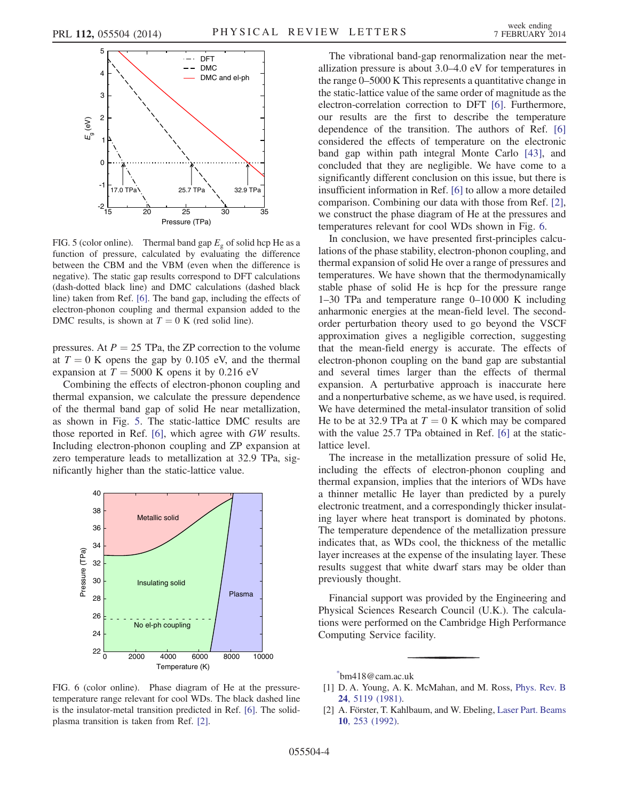<span id="page-3-2"></span>

FIG. 5 (color online). Thermal band gap  $E<sub>g</sub>$  of solid hcp He as a function of pressure, calculated by evaluating the difference between the CBM and the VBM (even when the difference is negative). The static gap results correspond to DFT calculations (dash-dotted black line) and DMC calculations (dashed black line) taken from Ref. [\[6\].](#page-4-2) The band gap, including the effects of electron-phonon coupling and thermal expansion added to the DMC results, is shown at  $T = 0$  K (red solid line).

pressures. At  $P = 25$  TPa, the ZP correction to the volume at  $T = 0$  K opens the gap by 0.105 eV, and the thermal expansion at  $T = 5000$  K opens it by 0.216 eV

Combining the effects of electron-phonon coupling and thermal expansion, we calculate the pressure dependence of the thermal band gap of solid He near metallization, as shown in Fig. [5.](#page-3-2) The static-lattice DMC results are those reported in Ref. [\[6\],](#page-4-2) which agree with GW results. Including electron-phonon coupling and ZP expansion at zero temperature leads to metallization at 32.9 TPa, significantly higher than the static-lattice value.

<span id="page-3-4"></span>

FIG. 6 (color online). Phase diagram of He at the pressuretemperature range relevant for cool WDs. The black dashed line is the insulator-metal transition predicted in Ref. [\[6\]](#page-4-2). The solidplasma transition is taken from Ref. [\[2\].](#page-3-3)

The vibrational band-gap renormalization near the metallization pressure is about 3.0–4.0 eV for temperatures in the range 0–5000 K This represents a quantitative change in the static-lattice value of the same order of magnitude as the electron-correlation correction to DFT [\[6\]](#page-4-2). Furthermore, our results are the first to describe the temperature dependence of the transition. The authors of Ref. [\[6\]](#page-4-2) considered the effects of temperature on the electronic band gap within path integral Monte Carlo [\[43\]](#page-4-22), and concluded that they are negligible. We have come to a significantly different conclusion on this issue, but there is insufficient information in Ref. [\[6\]](#page-4-2) to allow a more detailed comparison. Combining our data with those from Ref. [\[2\]](#page-3-3), we construct the phase diagram of He at the pressures and temperatures relevant for cool WDs shown in Fig. [6.](#page-3-4)

In conclusion, we have presented first-principles calculations of the phase stability, electron-phonon coupling, and thermal expansion of solid He over a range of pressures and temperatures. We have shown that the thermodynamically stable phase of solid He is hcp for the pressure range 1–30 TPa and temperature range 0–10 000 K including anharmonic energies at the mean-field level. The secondorder perturbation theory used to go beyond the VSCF approximation gives a negligible correction, suggesting that the mean-field energy is accurate. The effects of electron-phonon coupling on the band gap are substantial and several times larger than the effects of thermal expansion. A perturbative approach is inaccurate here and a nonperturbative scheme, as we have used, is required. We have determined the metal-insulator transition of solid He to be at 32.9 TPa at  $T = 0$  K which may be compared with the value 25.7 TPa obtained in Ref. [\[6\]](#page-4-2) at the staticlattice level.

The increase in the metallization pressure of solid He, including the effects of electron-phonon coupling and thermal expansion, implies that the interiors of WDs have a thinner metallic He layer than predicted by a purely electronic treatment, and a correspondingly thicker insulating layer where heat transport is dominated by photons. The temperature dependence of the metallization pressure indicates that, as WDs cool, the thickness of the metallic layer increases at the expense of the insulating layer. These results suggest that white dwarf stars may be older than previously thought.

Financial support was provided by the Engineering and Physical Sciences Research Council (U.K.). The calculations were performed on the Cambridge High Performance Computing Service facility.

<span id="page-3-0"></span>[\\*](#page-0-1) bm418@cam.ac.uk

<span id="page-3-1"></span><sup>[1]</sup> D. A. Young, A. K. McMahan, and M. Ross, [Phys. Rev. B](http://dx.doi.org/10.1103/PhysRevB.24.5119) 24[, 5119 \(1981\)](http://dx.doi.org/10.1103/PhysRevB.24.5119).

<span id="page-3-3"></span><sup>[2]</sup> A. Förster, T. Kahlbaum, and W. Ebeling, [Laser Part. Beams](http://dx.doi.org/10.1017/S0263034600004390) 10[, 253 \(1992\).](http://dx.doi.org/10.1017/S0263034600004390)